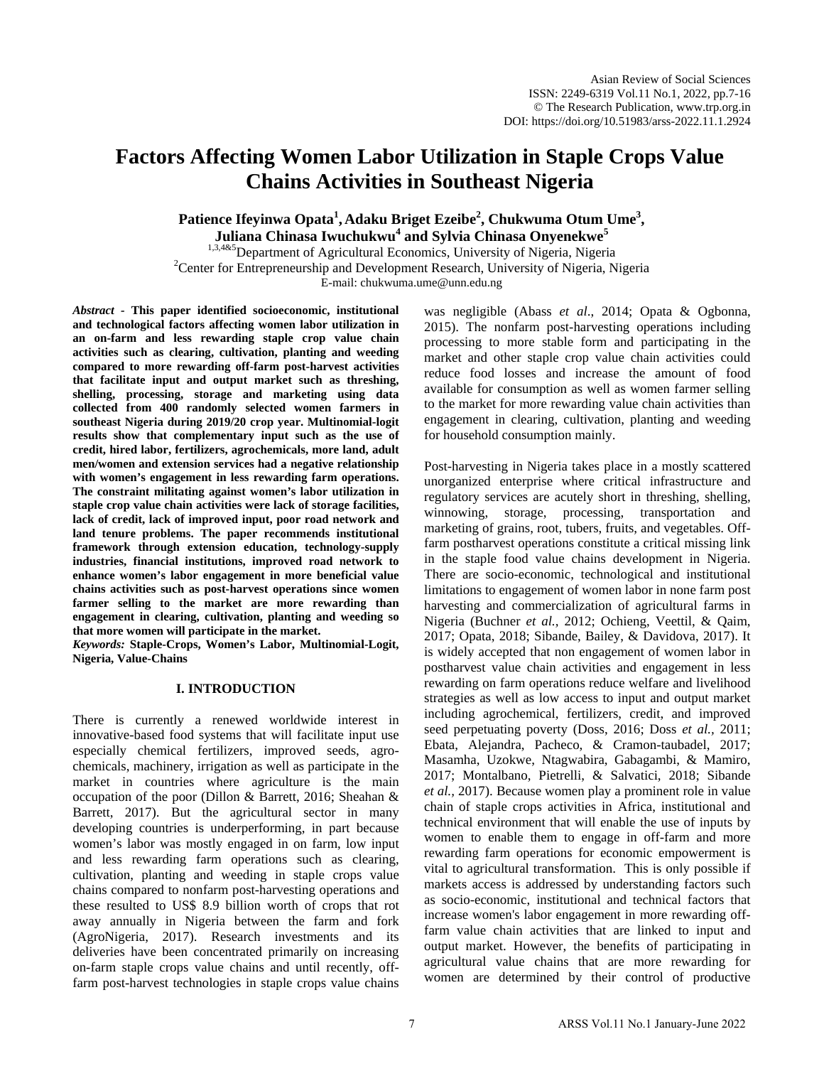# **Factors Affecting Women Labor Utilization in Staple Crops Value Chains Activities in Southeast Nigeria**

**Patience Ifeyinwa Opata<sup>1</sup> , Adaku Briget Ezeibe<sup>2</sup> , Chukwuma Otum Ume<sup>3</sup> , Juliana Chinasa Iwuchukwu<sup>4</sup> and Sylvia Chinasa Onyenekwe<sup>5</sup>**

<sup>1,3,4&5</sup>Department of Agricultural Economics, University of Nigeria, Nigeria<br><sup>2</sup>Center for Entrepreneurship and Dauglapment Bessexsh, University of Nigeria, N <sup>2</sup> Center for Entrepreneurship and Development Research, University of Nigeria, Nigeria E-mail: [chukwuma.ume@unn.edu.ng](mailto:chukwuma.ume@unn.edu.ng)

*Abstract -* **This paper identified socioeconomic, institutional and technological factors affecting women labor utilization in an on-farm and less rewarding staple crop value chain activities such as clearing, cultivation, planting and weeding compared to more rewarding off-farm post-harvest activities that facilitate input and output market such as threshing, shelling, processing, storage and marketing using data collected from 400 randomly selected women farmers in southeast Nigeria during 2019/20 crop year. Multinomial-logit results show that complementary input such as the use of credit, hired labor, fertilizers, agrochemicals, more land, adult men/women and extension services had a negative relationship with women's engagement in less rewarding farm operations. The constraint militating against women's labor utilization in staple crop value chain activities were lack of storage facilities, lack of credit, lack of improved input, poor road network and land tenure problems. The paper recommends institutional framework through extension education, technology-supply industries, financial institutions, improved road network to enhance women's labor engagement in more beneficial value chains activities such as post-harvest operations since women farmer selling to the market are more rewarding than engagement in clearing, cultivation, planting and weeding so that more women will participate in the market.** 

*Keywords:* **Staple-Crops, Women's Labor, Multinomial-Logit, Nigeria, Value-Chains**

# **I. INTRODUCTION**

There is currently a renewed worldwide interest in innovative-based food systems that will facilitate input use especially chemical fertilizers, improved seeds, agrochemicals, machinery, irrigation as well as participate in the market in countries where agriculture is the main occupation of the poor (Dillon & Barrett, 2016; Sheahan & Barrett, 2017). But the agricultural sector in many developing countries is underperforming, in part because women's labor was mostly engaged in on farm, low input and less rewarding farm operations such as clearing, cultivation, planting and weeding in staple crops value chains compared to nonfarm post-harvesting operations and these resulted to US\$ 8.9 billion worth of crops that rot away annually in Nigeria between the farm and fork (AgroNigeria, 2017). Research investments and its deliveries have been concentrated primarily on increasing on-farm staple crops value chains and until recently, offfarm post-harvest technologies in staple crops value chains

was negligible (Abass *et al*., 2014; Opata & Ogbonna, 2015). The nonfarm post-harvesting operations including processing to more stable form and participating in the market and other staple crop value chain activities could reduce food losses and increase the amount of food available for consumption as well as women farmer selling to the market for more rewarding value chain activities than engagement in clearing, cultivation, planting and weeding for household consumption mainly.

Post-harvesting in Nigeria takes place in a mostly scattered unorganized enterprise where critical infrastructure and regulatory services are acutely short in threshing, shelling, winnowing, storage, processing, transportation and marketing of grains, root, tubers, fruits, and vegetables. Offfarm postharvest operations constitute a critical missing link in the staple food value chains development in Nigeria. There are socio-economic, technological and institutional limitations to engagement of women labor in none farm post harvesting and commercialization of agricultural farms in Nigeria (Buchner *et al.,* 2012; Ochieng, Veettil, & Qaim, 2017; Opata, 2018; Sibande, Bailey, & Davidova, 2017). It is widely accepted that non engagement of women labor in postharvest value chain activities and engagement in less rewarding on farm operations reduce welfare and livelihood strategies as well as low access to input and output market including agrochemical, fertilizers, credit, and improved seed perpetuating poverty (Doss, 2016; Doss *et al.,* 2011; Ebata, Alejandra, Pacheco, & Cramon-taubadel, 2017; Masamha, Uzokwe, Ntagwabira, Gabagambi, & Mamiro, 2017; Montalbano, Pietrelli, & Salvatici, 2018; Sibande *et al.,* 2017). Because women play a prominent role in value chain of staple crops activities in Africa, institutional and technical environment that will enable the use of inputs by women to enable them to engage in off-farm and more rewarding farm operations for economic empowerment is vital to agricultural transformation. This is only possible if markets access is addressed by understanding factors such as socio-economic, institutional and technical factors that increase women's labor engagement in more rewarding offfarm value chain activities that are linked to input and output market. However, the benefits of participating in agricultural value chains that are more rewarding for women are determined by their control of productive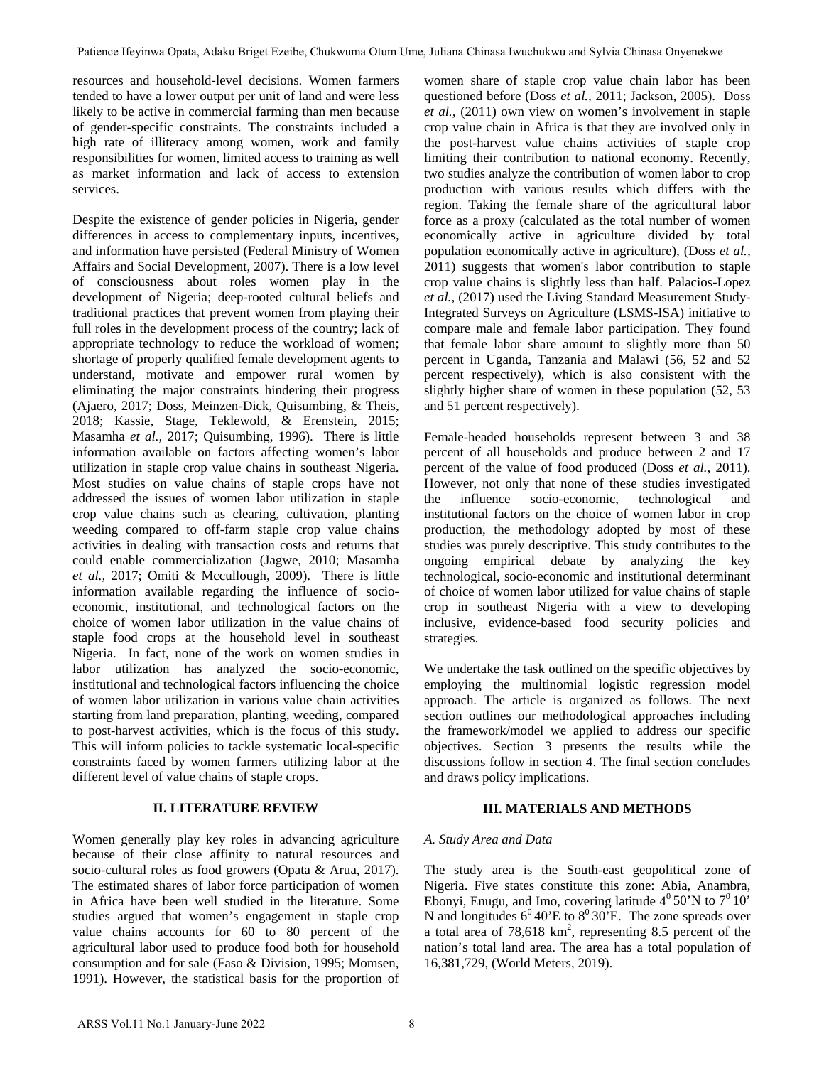resources and household-level decisions. Women farmers tended to have a lower output per unit of land and were less likely to be active in commercial farming than men because of gender-specific constraints. The constraints included a high rate of illiteracy among women, work and family responsibilities for women, limited access to training as well as market information and lack of access to extension services.

Despite the existence of gender policies in Nigeria, gender differences in access to complementary inputs, incentives, and information have persisted (Federal Ministry of Women Affairs and Social Development, 2007). There is a low level of consciousness about roles women play in the development of Nigeria; deep-rooted cultural beliefs and traditional practices that prevent women from playing their full roles in the development process of the country; lack of appropriate technology to reduce the workload of women; shortage of properly qualified female development agents to understand, motivate and empower rural women by eliminating the major constraints hindering their progress (Ajaero, 2017; Doss, Meinzen-Dick, Quisumbing, & Theis, 2018; Kassie, Stage, Teklewold, & Erenstein, 2015; Masamha *et al.,* 2017; Quisumbing, 1996). There is little information available on factors affecting women's labor utilization in staple crop value chains in southeast Nigeria. Most studies on value chains of staple crops have not addressed the issues of women labor utilization in staple crop value chains such as clearing, cultivation, planting weeding compared to off-farm staple crop value chains activities in dealing with transaction costs and returns that could enable commercialization (Jagwe, 2010; Masamha *et al.,* 2017; Omiti & Mccullough, 2009). There is little information available regarding the influence of socioeconomic, institutional, and technological factors on the choice of women labor utilization in the value chains of staple food crops at the household level in southeast Nigeria. In fact, none of the work on women studies in labor utilization has analyzed the socio-economic, institutional and technological factors influencing the choice of women labor utilization in various value chain activities starting from land preparation, planting, weeding, compared to post-harvest activities, which is the focus of this study. This will inform policies to tackle systematic local-specific constraints faced by women farmers utilizing labor at the different level of value chains of staple crops.

# **II. LITERATURE REVIEW**

Women generally play key roles in advancing agriculture because of their close affinity to natural resources and socio-cultural roles as food growers (Opata & Arua, 2017). The estimated shares of labor force participation of women in Africa have been well studied in the literature. Some studies argued that women's engagement in staple crop value chains accounts for 60 to 80 percent of the agricultural labor used to produce food both for household consumption and for sale (Faso & Division, 1995; Momsen, 1991). However, the statistical basis for the proportion of

women share of staple crop value chain labor has been questioned before (Doss *et al.,* 2011; Jackson, 2005). Doss *et al.,* (2011) own view on women's involvement in staple crop value chain in Africa is that they are involved only in the post-harvest value chains activities of staple crop limiting their contribution to national economy. Recently, two studies analyze the contribution of women labor to crop production with various results which differs with the region. Taking the female share of the agricultural labor force as a proxy (calculated as the total number of women economically active in agriculture divided by total population economically active in agriculture), (Doss *et al.,*  2011) suggests that women's labor contribution to staple crop value chains is slightly less than half. Palacios-Lopez *et al.,* (2017) used the Living Standard Measurement Study-Integrated Surveys on Agriculture (LSMS-ISA) initiative to compare male and female labor participation. They found that female labor share amount to slightly more than 50 percent in Uganda, Tanzania and Malawi (56, 52 and 52 percent respectively), which is also consistent with the slightly higher share of women in these population (52, 53 and 51 percent respectively).

Female-headed households represent between 3 and 38 percent of all households and produce between 2 and 17 percent of the value of food produced (Doss *et al.,* 2011). However, not only that none of these studies investigated the influence socio-economic, technological and institutional factors on the choice of women labor in crop production, the methodology adopted by most of these studies was purely descriptive. This study contributes to the ongoing empirical debate by analyzing the key technological, socio-economic and institutional determinant of choice of women labor utilized for value chains of staple crop in southeast Nigeria with a view to developing inclusive, evidence-based food security policies and strategies.

We undertake the task outlined on the specific objectives by employing the multinomial logistic regression model approach. The article is organized as follows. The next section outlines our methodological approaches including the framework/model we applied to address our specific objectives. Section 3 presents the results while the discussions follow in section 4. The final section concludes and draws policy implications.

# **III. MATERIALS AND METHODS**

# *A. Study Area and Data*

The study area is the South-east geopolitical zone of Nigeria. Five states constitute this zone: Abia, Anambra, Ebonyi, Enugu, and Imo, covering latitude  $4^{\circ}$  50'N to  $7^{\circ}$  10' N and longitudes  $6^0 40$ 'E to  $8^0 30$ 'E. The zone spreads over a total area of  $78,618$  km<sup>2</sup>, representing 8.5 percent of the nation's total land area. The area has a total population of 16,381,729, (World Meters, 2019).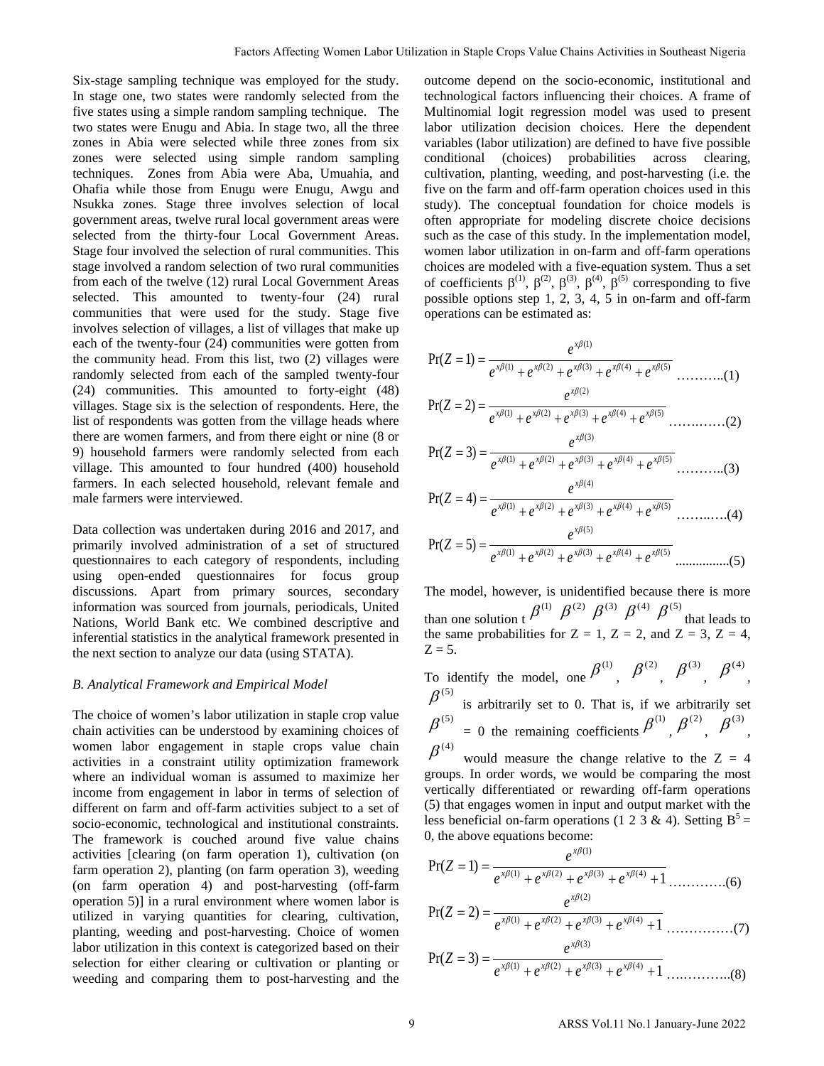Six-stage sampling technique was employed for the study. In stage one, two states were randomly selected from the five states using a simple random sampling technique. The two states were Enugu and Abia. In stage two, all the three zones in Abia were selected while three zones from six zones were selected using simple random sampling techniques. Zones from Abia were Aba, Umuahia, and Ohafia while those from Enugu were Enugu, Awgu and Nsukka zones. Stage three involves selection of local government areas, twelve rural local government areas were selected from the thirty-four Local Government Areas. Stage four involved the selection of rural communities. This stage involved a random selection of two rural communities from each of the twelve (12) rural Local Government Areas selected. This amounted to twenty-four (24) rural communities that were used for the study. Stage five involves selection of villages, a list of villages that make up each of the twenty-four (24) communities were gotten from the community head. From this list, two (2) villages were randomly selected from each of the sampled twenty-four (24) communities. This amounted to forty-eight (48) villages. Stage six is the selection of respondents. Here, the list of respondents was gotten from the village heads where there are women farmers, and from there eight or nine (8 or 9) household farmers were randomly selected from each village. This amounted to four hundred (400) household farmers. In each selected household, relevant female and male farmers were interviewed.

Data collection was undertaken during 2016 and 2017, and primarily involved administration of a set of structured questionnaires to each category of respondents, including using open-ended questionnaires for focus group discussions. Apart from primary sources, secondary information was sourced from journals, periodicals, United Nations, World Bank etc. We combined descriptive and inferential statistics in the analytical framework presented in the next section to analyze our data (using STATA).

#### *B. Analytical Framework and Empirical Model*

The choice of women's labor utilization in staple crop value chain activities can be understood by examining choices of women labor engagement in staple crops value chain activities in a constraint utility optimization framework where an individual woman is assumed to maximize her income from engagement in labor in terms of selection of different on farm and off-farm activities subject to a set of socio-economic, technological and institutional constraints. The framework is couched around five value chains activities [clearing (on farm operation 1), cultivation (on farm operation 2), planting (on farm operation 3), weeding (on farm operation 4) and post-harvesting (off-farm operation 5)] in a rural environment where women labor is utilized in varying quantities for clearing, cultivation, planting, weeding and post-harvesting. Choice of women labor utilization in this context is categorized based on their selection for either clearing or cultivation or planting or weeding and comparing them to post-harvesting and the

outcome depend on the socio-economic, institutional and technological factors influencing their choices. A frame of Multinomial logit regression model was used to present labor utilization decision choices. Here the dependent variables (labor utilization) are defined to have five possible conditional (choices) probabilities across clearing, cultivation, planting, weeding, and post-harvesting (i.e. the five on the farm and off-farm operation choices used in this study). The conceptual foundation for choice models is often appropriate for modeling discrete choice decisions such as the case of this study. In the implementation model, women labor utilization in on-farm and off-farm operations choices are modeled with a five-equation system. Thus a set of coefficients  $\beta^{(1)}$ ,  $\beta^{(2)}$ ,  $\beta^{(3)}$ ,  $\beta^{(4)}$ ,  $\beta^{(5)}$  corresponding to five possible options step 1, 2, 3, 4, 5 in on-farm and off-farm operations can be estimated as: Factors Affecting Women Labor Affecting Wollet and Southeast Northern Research Affecting Network is a material behavior and the material methodology in the content of content in the content of the content of the content o

$$
Pr(Z = 1) = \frac{e^{x\beta(1)}}{e^{x\beta(1)} + e^{x\beta(2)} + e^{x\beta(3)} + e^{x\beta(4)} + e^{x\beta(5)}} \dots \dots \dots (1)
$$

$$
Pr(Z = 2) = \frac{e^{x\beta(1)}}{e^{x\beta(1)} + e^{x\beta(2)} + e^{x\beta(3)} + e^{x\beta(4)} + e^{x\beta(5)}} \dots \dots \dots \dots \dots (2)
$$

$$
Pr(Z = 3) = \frac{e^{x\beta(3)}}{e^{x\beta(1)} + e^{x\beta(2)} + e^{x\beta(3)} + e^{x\beta(4)} + e^{x\beta(5)}} \dots \dots \dots \dots (3)
$$

$$
Pr(Z = 4) = \frac{e^{x\beta(1)}}{e^{x\beta(1)} + e^{x\beta(2)} + e^{x\beta(3)} + e^{x\beta(4)} + e^{x\beta(5)}} \dots \dots \dots \dots (4)
$$

................(5) )5()4()3()2()1( )5Pr( <sup>β</sup> <sup>β</sup> <sup>β</sup> <sup>β</sup> <sup>β</sup> *x x x x x eeeee <sup>e</sup> <sup>Z</sup>* ++++ ==

The model, however, is unidentified because there is more than one solution t  $\beta^{(1)}$   $\beta^{(2)}$   $\beta^{(3)}$   $\beta^{(4)}$   $\beta^{(5)}$  that leads to the same probabilities for  $Z = 1$ ,  $Z = 2$ , and  $Z = 3$ ,  $Z = 4$ ,  $Z = 5$ .

To identify the model, one  $\beta^{(1)}$ ,  $\beta^{(2)}$ ,  $\beta^{(3)}$ ,  $\beta^{(4)}$ , is arbitrarily set to 0. That is, if we arbitrarily set  $\beta^{(5)}$  = 0 the remaining coefficients  $\beta^{(1)}$ ,  $\beta^{(2)}$ ,  $\beta^{(3)}$ ,  $\beta^{(5)}$  $\beta^{(4)}$ 

would measure the change relative to the  $Z = 4$ groups. In order words, we would be comparing the most vertically differentiated or rewarding off-farm operations (5) that engages women in input and output market with the less beneficial on-farm operations (1 2 3 & 4). Setting  $B^5$  = 0, the above equations become:

$$
Pr(Z = 1) = \frac{e^{x\beta(1)}}{e^{x\beta(1)} + e^{x\beta(2)} + e^{x\beta(3)} + e^{x\beta(4)} + 1}
$$
.............(6)  
\n
$$
Pr(Z = 2) = \frac{e^{x\beta(2)}}{e^{x\beta(1)} + e^{x\beta(2)} + e^{x\beta(3)} + e^{x\beta(4)} + 1}
$$
.............(7)  
\n
$$
Pr(Z = 3) = \frac{e^{x\beta(3)}}{e^{x\beta(1)} + e^{x\beta(2)} + e^{x\beta(3)} + e^{x\beta(4)} + 1}
$$
.............(8)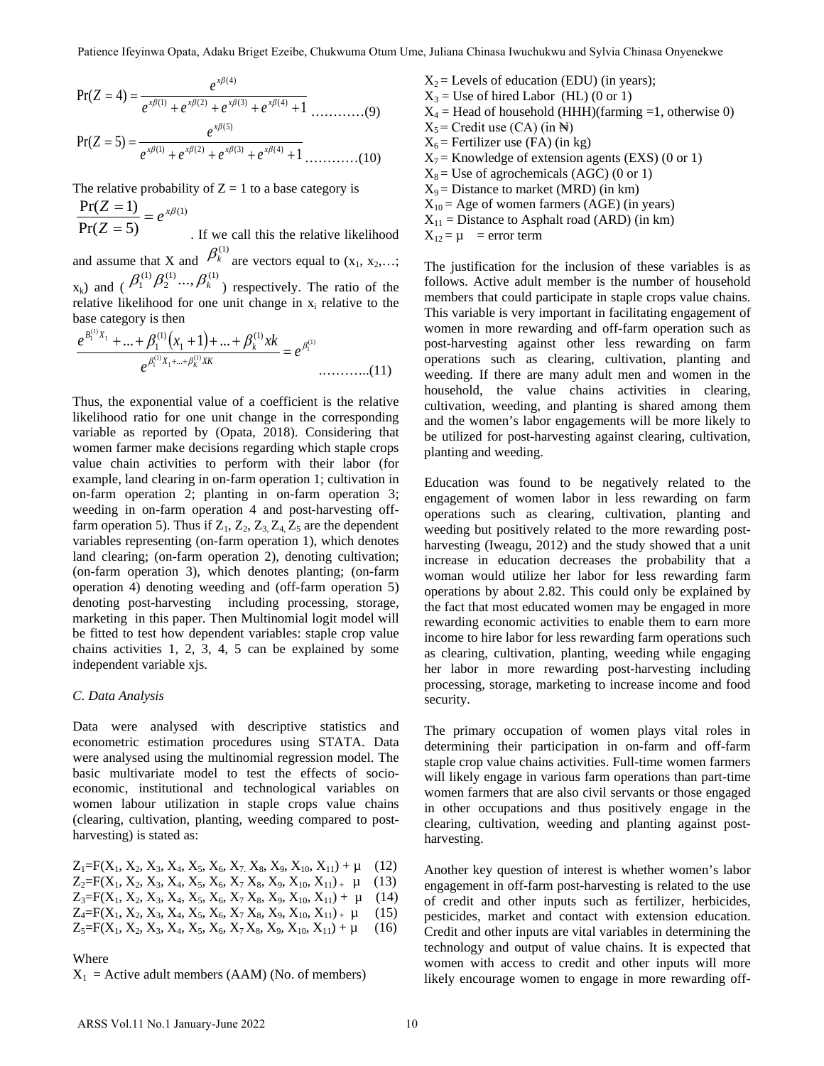$$
Pr(Z = 4) = \frac{e^{x\beta(4)}}{e^{x\beta(1)} + e^{x\beta(2)} + e^{x\beta(3)} + e^{x\beta(4)} + 1}
$$
.............(9)  

$$
Pr(Z = 5) = \frac{e^{x\beta(5)}}{e^{x\beta(1)} + e^{x\beta(2)} + e^{x\beta(3)} + e^{x\beta(4)} + 1}
$$
.............(10)

The relative probability of  $Z = 1$  to a base category is

. If we call this the relative likelihood and assume that X and  $\beta_k^{(1)}$  are vectors equal to  $(x_1, x_2,...; x_k)$  $\mathbf{x}_{k}$ ) and ( $\beta_1^{(1)}\beta_2^{(1)}..., \beta_k^{(1)}$ ) respectively. The ratio of the relative likelihood for one unit change in  $x_i$  relative to the base category is then  $^{(1)}$  $Pr(Z=5)$  $\frac{\Pr(Z=1)}{P(Z=1)} = e^{x\beta}$  $\frac{Z=1}{Z=5}$  =

$$
\frac{e^{\beta_1^{(1)}X_1} + \dots + \beta_1^{(1)}(x_1 + 1) + \dots + \beta_k^{(1)}x_k}{e^{\beta_1^{(1)}X_1 + \dots + \beta_k^{(1)}x_k}} = e^{\beta_1^{(1)}} \dots \dots \dots \dots (11)
$$

Thus, the exponential value of a coefficient is the relative likelihood ratio for one unit change in the corresponding variable as reported by (Opata, 2018). Considering that women farmer make decisions regarding which staple crops value chain activities to perform with their labor (for example, land clearing in on-farm operation 1; cultivation in on-farm operation 2; planting in on-farm operation 3; weeding in on-farm operation 4 and post-harvesting offfarm operation 5). Thus if  $Z_1$ ,  $Z_2$ ,  $Z_3$ ,  $Z_4$ ,  $Z_5$  are the dependent variables representing (on-farm operation 1), which denotes land clearing; (on-farm operation 2), denoting cultivation; (on-farm operation 3), which denotes planting; (on-farm operation 4) denoting weeding and (off-farm operation 5) denoting post-harvesting including processing, storage, marketing in this paper. Then Multinomial logit model will be fitted to test how dependent variables: staple crop value chains activities 1, 2, 3, 4, 5 can be explained by some independent variable xjs. EVENCE 12 Patience If  $\frac{\partial^2 u}{\partial x^2} + \frac{\partial^2 u}{\partial y^2} = 0$ <br>
ARS FOR THE REAL AND THE CHINESE CONFIDENCE CONFIDENCE IS  $\frac{\partial^2 u}{\partial y^2} = \frac{\partial^2 u}{\partial x^2} + \frac{\partial^2 u}{\partial y^2} = \frac{\partial^2 u}{\partial y^2} + \frac{\partial^2 u}{\partial y^2} = 0$ <br>
ARS FOR THE 2022 10 Pati

### *C. Data Analysis*

Data were analysed with descriptive statistics and econometric estimation procedures using STATA. Data were analysed using the multinomial regression model. The basic multivariate model to test the effects of socioeconomic, institutional and technological variables on women labour utilization in staple crops value chains (clearing, cultivation, planting, weeding compared to postharvesting) is stated as:

 $Z_1 = F(X_1, X_2, X_3, X_4, X_5, X_6, X_7, X_8, X_9, X_{10}, X_{11}) + \mu$  (12)  $Z_2 = F(X_1, X_2, X_3, X_4, X_5, X_6, X_7 X_8, X_9, X_{10}, X_{11})_+ \mu$  (13)  $Z_3 = F(X_1, X_2, X_3, X_4, X_5, X_6, X_7 X_8, X_9, X_{10}, X_{11}) + \mu$  (14)  $Z_4 = F(X_1, X_2, X_3, X_4, X_5, X_6, X_7 X_8, X_9, X_{10}, X_{11})_+ \mu$  (15)  $Z_5 = F(X_1, X_2, X_3, X_4, X_5, X_6, X_7 X_8, X_9, X_{10}, X_{11}) + \mu$  (16)

#### Where

 $X_1$  = Active adult members (AAM) (No. of members)

 $X_2$  = Levels of education (EDU) (in years);  $X_3$  = Use of hired Labor (HL) (0 or 1)  $X_4$  = Head of household (HHH)(farming =1, otherwise 0)  $X_5$  = Credit use (CA) (in  $\mathbb{H}$ )  $X_6$  = Fertilizer use (FA) (in kg)  $X_7$  = Knowledge of extension agents (EXS) (0 or 1)  $X_8$  = Use of agrochemicals (AGC) (0 or 1)

 $X_9$  = Distance to market (MRD) (in km)

 $X_{10}$  = Age of women farmers (AGE) (in years)

 $X_{11}$  = Distance to Asphalt road (ARD) (in km)

 $X_{12} = \mu$  = error term

The justification for the inclusion of these variables is as follows. Active adult member is the number of household members that could participate in staple crops value chains. This variable is very important in facilitating engagement of women in more rewarding and off-farm operation such as post-harvesting against other less rewarding on farm operations such as clearing, cultivation, planting and weeding. If there are many adult men and women in the household, the value chains activities in clearing, cultivation, weeding, and planting is shared among them and the women's labor engagements will be more likely to be utilized for post-harvesting against clearing, cultivation, planting and weeding.

Education was found to be negatively related to the engagement of women labor in less rewarding on farm operations such as clearing, cultivation, planting and weeding but positively related to the more rewarding postharvesting (Iweagu, 2012) and the study showed that a unit increase in education decreases the probability that a woman would utilize her labor for less rewarding farm operations by about 2.82. This could only be explained by the fact that most educated women may be engaged in more rewarding economic activities to enable them to earn more income to hire labor for less rewarding farm operations such as clearing, cultivation, planting, weeding while engaging her labor in more rewarding post-harvesting including processing, storage, marketing to increase income and food security.

The primary occupation of women plays vital roles in determining their participation in on-farm and off-farm staple crop value chains activities. Full-time women farmers will likely engage in various farm operations than part-time women farmers that are also civil servants or those engaged in other occupations and thus positively engage in the clearing, cultivation, weeding and planting against postharvesting.

Another key question of interest is whether women's labor engagement in off-farm post-harvesting is related to the use of credit and other inputs such as fertilizer, herbicides, pesticides, market and contact with extension education. Credit and other inputs are vital variables in determining the technology and output of value chains. It is expected that women with access to credit and other inputs will more likely encourage women to engage in more rewarding off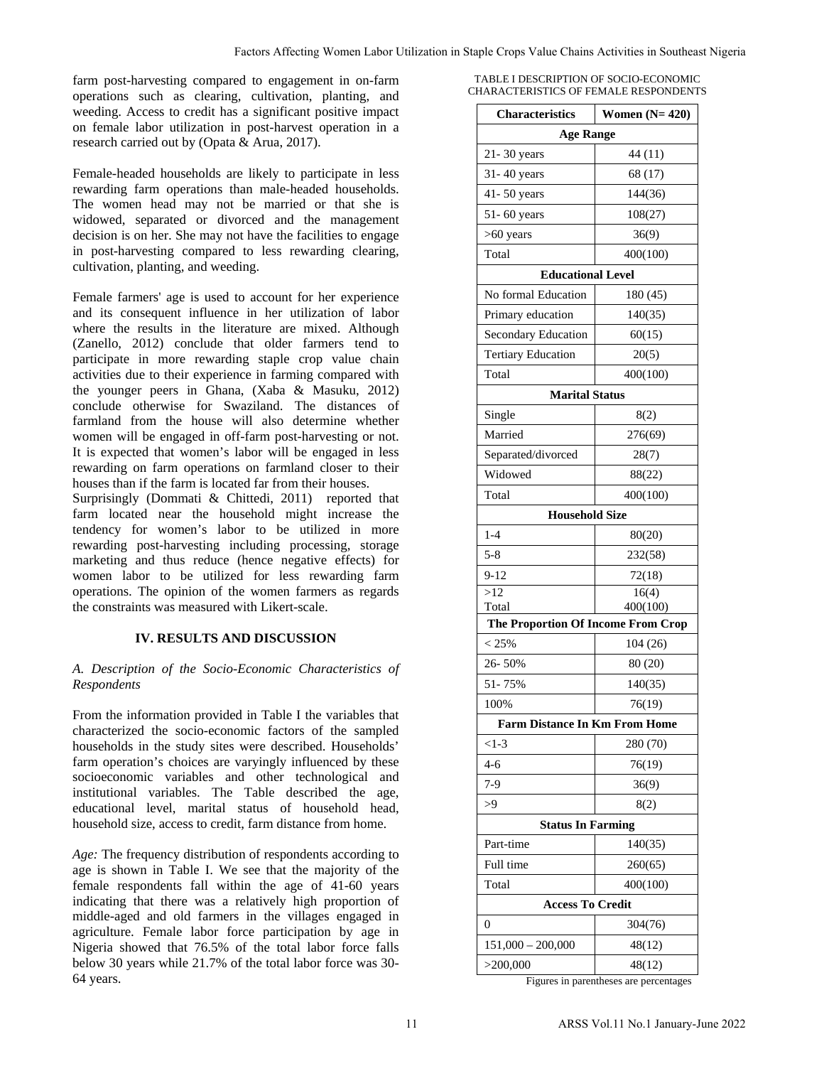farm post-harvesting compared to engagement in on-farm operations such as clearing, cultivation, planting, and weeding. Access to credit has a significant positive impact on female labor utilization in post-harvest operation in a research carried out by (Opata & Arua, 2017).

Female-headed households are likely to participate in less rewarding farm operations than male-headed households. The women head may not be married or that she is widowed, separated or divorced and the management decision is on her. She may not have the facilities to engage in post-harvesting compared to less rewarding clearing, cultivation, planting, and weeding.

Female farmers' age is used to account for her experience and its consequent influence in her utilization of labor where the results in the literature are mixed. Although (Zanello, 2012) conclude that older farmers tend to participate in more rewarding staple crop value chain activities due to their experience in farming compared with the younger peers in Ghana, (Xaba & Masuku, 2012) conclude otherwise for Swaziland. The distances of farmland from the house will also determine whether women will be engaged in off-farm post-harvesting or not. It is expected that women's labor will be engaged in less rewarding on farm operations on farmland closer to their houses than if the farm is located far from their houses.

Surprisingly (Dommati & Chittedi, 2011) reported that farm located near the household might increase the tendency for women's labor to be utilized in more rewarding post-harvesting including processing, storage marketing and thus reduce (hence negative effects) for women labor to be utilized for less rewarding farm operations. The opinion of the women farmers as regards the constraints was measured with Likert-scale.

# **IV. RESULTS AND DISCUSSION**

# *A. Description of the Socio-Economic Characteristics of Respondents*

From the information provided in Table I the variables that characterized the socio-economic factors of the sampled households in the study sites were described. Households' farm operation's choices are varyingly influenced by these socioeconomic variables and other technological and institutional variables. The Table described the age, educational level, marital status of household head, household size, access to credit, farm distance from home.

*Age:* The frequency distribution of respondents according to age is shown in Table I. We see that the majority of the female respondents fall within the age of 41-60 years indicating that there was a relatively high proportion of middle-aged and old farmers in the villages engaged in agriculture. Female labor force participation by age in Nigeria showed that 76.5% of the total labor force falls below 30 years while 21.7% of the total labor force was 30- 64 years.

| TABLE I DESCRIPTION OF SOCIO-ECONOMIC |
|---------------------------------------|
| CHARACTERISTICS OF FEMALE RESPONDENTS |

| s a significant positive impact                                | <b>Characteristics</b>                      | Women $(N=420)$ |  |  |
|----------------------------------------------------------------|---------------------------------------------|-----------------|--|--|
| n post-harvest operation in a                                  | <b>Age Range</b>                            |                 |  |  |
| & Arua, 2017).                                                 | $21 - 30$ years                             | 44 (11)         |  |  |
| re likely to participate in less                               | $31 - 40$ years                             | 68 (17)         |  |  |
| han male-headed households.                                    | $41 - 50$ years                             | 144(36)         |  |  |
| be married or that she is                                      | $51 - 60$ years                             | 108(27)         |  |  |
| orced and the management<br>ot have the facilities to engage   | $>60$ years                                 | 36(9)           |  |  |
| to less rewarding clearing,                                    | Total                                       | 400(100)        |  |  |
| ling.                                                          | <b>Educational Level</b>                    |                 |  |  |
|                                                                | No formal Education                         | 180(45)         |  |  |
| to account for her experience<br>e in her utilization of labor | Primary education                           | 140(35)         |  |  |
| erature are mixed. Although                                    |                                             |                 |  |  |
| that older farmers tend to                                     | Secondary Education                         | 60(15)          |  |  |
| ng staple crop value chain                                     | <b>Tertiary Education</b>                   | 20(5)           |  |  |
| nce in farming compared with<br>a, (Xaba & Masuku, 2012)       | Total                                       | 400(100)        |  |  |
| waziland. The distances of                                     | <b>Marital Status</b>                       |                 |  |  |
| will also determine whether                                    | Single                                      | 8(2)            |  |  |
| f-farm post-harvesting or not.                                 | Married                                     | 276(69)         |  |  |
| labor will be engaged in less<br>s on farmland closer to their | Separated/divorced                          | 28(7)           |  |  |
| ted far from their houses.                                     | Widowed                                     | 88(22)          |  |  |
| hittedi, 2011) reported that                                   | Total                                       | 400(100)        |  |  |
| usehold might increase the                                     | <b>Household Size</b>                       |                 |  |  |
| or to be utilized in more<br>ncluding processing, storage      | $1 - 4$                                     | 80(20)          |  |  |
| (hence negative effects) for                                   | $5 - 8$                                     | 232(58)         |  |  |
| d for less rewarding farm                                      | $9-12$                                      | 72(18)          |  |  |
| ne women farmers as regards                                    | >12                                         | 16(4)           |  |  |
| with Likert-scale.                                             | Total<br>The Proportion Of Income From Crop | 400(100)        |  |  |
| <b>ND DISCUSSION</b>                                           |                                             |                 |  |  |
|                                                                | < 25%                                       | 104(26)         |  |  |
| Economic Characteristics of                                    | 26-50%                                      | 80 (20)         |  |  |
|                                                                | 51-75%                                      | 140(35)         |  |  |
| d in Table I the variables that                                | 100%                                        | 76(19)          |  |  |
| omic factors of the sampled                                    | <b>Farm Distance In Km From Home</b>        |                 |  |  |
| were described. Households'                                    | $<1-3$                                      | 280 (70)        |  |  |
| varyingly influenced by these<br>nd other technological and    | $4 - 6$                                     | 76(19)          |  |  |
| Table described the age,                                       | $7-9$                                       | 36(9)           |  |  |
| status of household head,                                      | >9                                          | 8(2)            |  |  |
| it, farm distance from home.                                   | <b>Status In Farming</b>                    |                 |  |  |
| on of respondents according to                                 | Part-time                                   | 140(35)         |  |  |
| e see that the majority of the                                 | Full time                                   | 260(65)         |  |  |
| hin the age of 41-60 years                                     | Total                                       | 400(100)        |  |  |
| relatively high proportion of                                  | <b>Access To Credit</b>                     |                 |  |  |
| s in the villages engaged in                                   | $\overline{0}$                              | 304(76)         |  |  |
| prce participation by age in<br>of the total labor force falls | $151,000 - 200,000$                         | 48(12)          |  |  |
| of the total labor force was 30-                               | >200,000                                    | 48(12)          |  |  |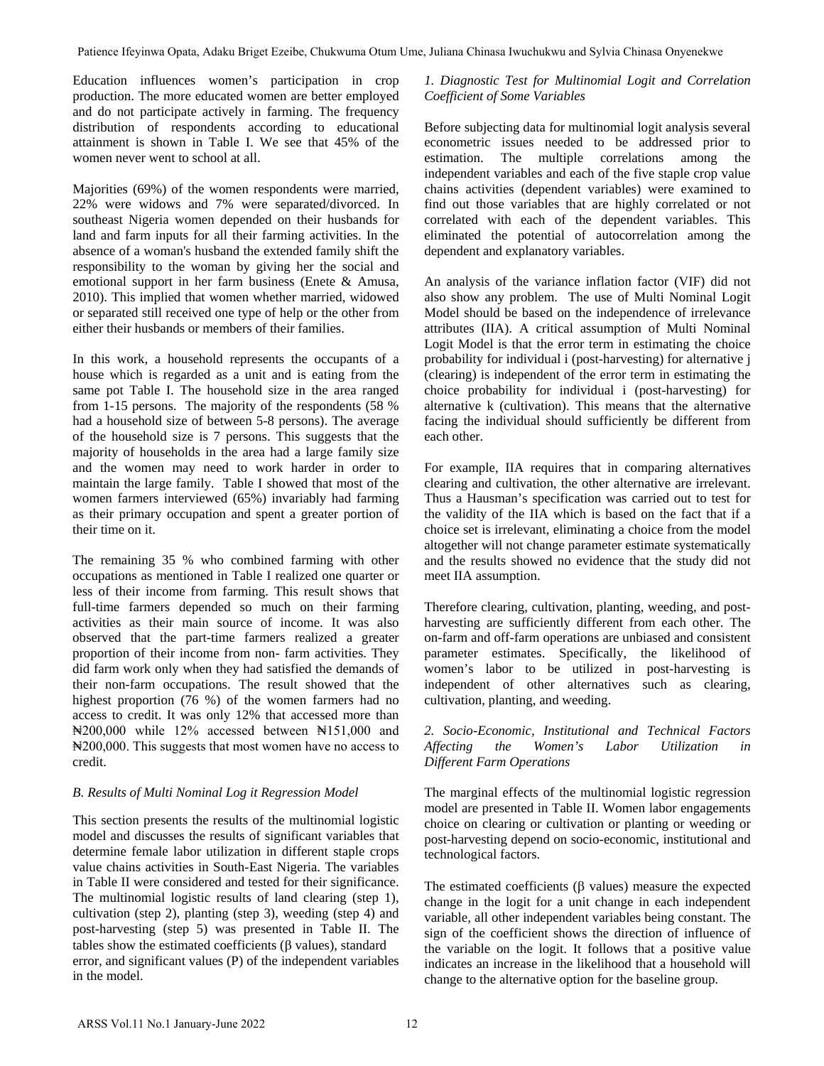Education influences women's participation in crop production. The more educated women are better employed and do not participate actively in farming. The frequency distribution of respondents according to educational attainment is shown in Table I. We see that 45% of the women never went to school at all.

Majorities (69%) of the women respondents were married, 22% were widows and 7% were separated/divorced. In southeast Nigeria women depended on their husbands for land and farm inputs for all their farming activities. In the absence of a woman's husband the extended family shift the responsibility to the woman by giving her the social and emotional support in her farm business (Enete & Amusa, 2010). This implied that women whether married, widowed or separated still received one type of help or the other from either their husbands or members of their families.

In this work, a household represents the occupants of a house which is regarded as a unit and is eating from the same pot Table I. The household size in the area ranged from 1-15 persons. The majority of the respondents (58 % had a household size of between 5-8 persons). The average of the household size is 7 persons. This suggests that the majority of households in the area had a large family size and the women may need to work harder in order to maintain the large family. Table I showed that most of the women farmers interviewed (65%) invariably had farming as their primary occupation and spent a greater portion of their time on it.

The remaining 35 % who combined farming with other occupations as mentioned in Table I realized one quarter or less of their income from farming. This result shows that full-time farmers depended so much on their farming activities as their main source of income. It was also observed that the part-time farmers realized a greater proportion of their income from non- farm activities. They did farm work only when they had satisfied the demands of their non-farm occupations. The result showed that the highest proportion (76 %) of the women farmers had no access to credit. It was only 12% that accessed more than ₦200,000 while 12% accessed between ₦151,000 and ₦200,000. This suggests that most women have no access to credit. For the time that is not the sylvia Chinasa Chinasa Chinasa Chinasa Chinasa Chinasa Chinasa Chinasa Chinasa Chinasa Chinasa Chinasa Chinasa Chinasa Chinasa Chinasa Chinasa Chinasa Chinasa Chinasa Chinasa Chinasa Chinasa C

# *B. Results of Multi Nominal Log it Regression Model*

This section presents the results of the multinomial logistic model and discusses the results of significant variables that determine female labor utilization in different staple crops value chains activities in South-East Nigeria. The variables in Table II were considered and tested for their significance. The multinomial logistic results of land clearing (step 1), cultivation (step 2), planting (step 3), weeding (step 4) and post-harvesting (step 5) was presented in Table II. The tables show the estimated coefficients (β values), standard error, and significant values (P) of the independent variables in the model.

# *1. Diagnostic Test for Multinomial Logit and Correlation Coefficient of Some Variables*

Before subjecting data for multinomial logit analysis several econometric issues needed to be addressed prior to estimation. The multiple correlations among the independent variables and each of the five staple crop value chains activities (dependent variables) were examined to find out those variables that are highly correlated or not correlated with each of the dependent variables. This eliminated the potential of autocorrelation among the dependent and explanatory variables.

An analysis of the variance inflation factor (VIF) did not also show any problem. The use of Multi Nominal Logit Model should be based on the independence of irrelevance attributes (IIA). A critical assumption of Multi Nominal Logit Model is that the error term in estimating the choice probability for individual i (post-harvesting) for alternative j (clearing) is independent of the error term in estimating the choice probability for individual i (post-harvesting) for alternative k (cultivation). This means that the alternative facing the individual should sufficiently be different from each other.

For example, IIA requires that in comparing alternatives clearing and cultivation, the other alternative are irrelevant. Thus a Hausman's specification was carried out to test for the validity of the IIA which is based on the fact that if a choice set is irrelevant, eliminating a choice from the model altogether will not change parameter estimate systematically and the results showed no evidence that the study did not meet IIA assumption.

Therefore clearing, cultivation, planting, weeding, and postharvesting are sufficiently different from each other. The on-farm and off-farm operations are unbiased and consistent parameter estimates. Specifically, the likelihood of women's labor to be utilized in post-harvesting is independent of other alternatives such as clearing, cultivation, planting, and weeding.

# *2. Socio-Economic, Institutional and Technical Factors Affecting the Women's Labor Utilization in Different Farm Operations*

The marginal effects of the multinomial logistic regression model are presented in Table II. Women labor engagements choice on clearing or cultivation or planting or weeding or post-harvesting depend on socio-economic, institutional and technological factors.

The estimated coefficients ( $\beta$  values) measure the expected change in the logit for a unit change in each independent variable, all other independent variables being constant. The sign of the coefficient shows the direction of influence of the variable on the logit. It follows that a positive value indicates an increase in the likelihood that a household will change to the alternative option for the baseline group.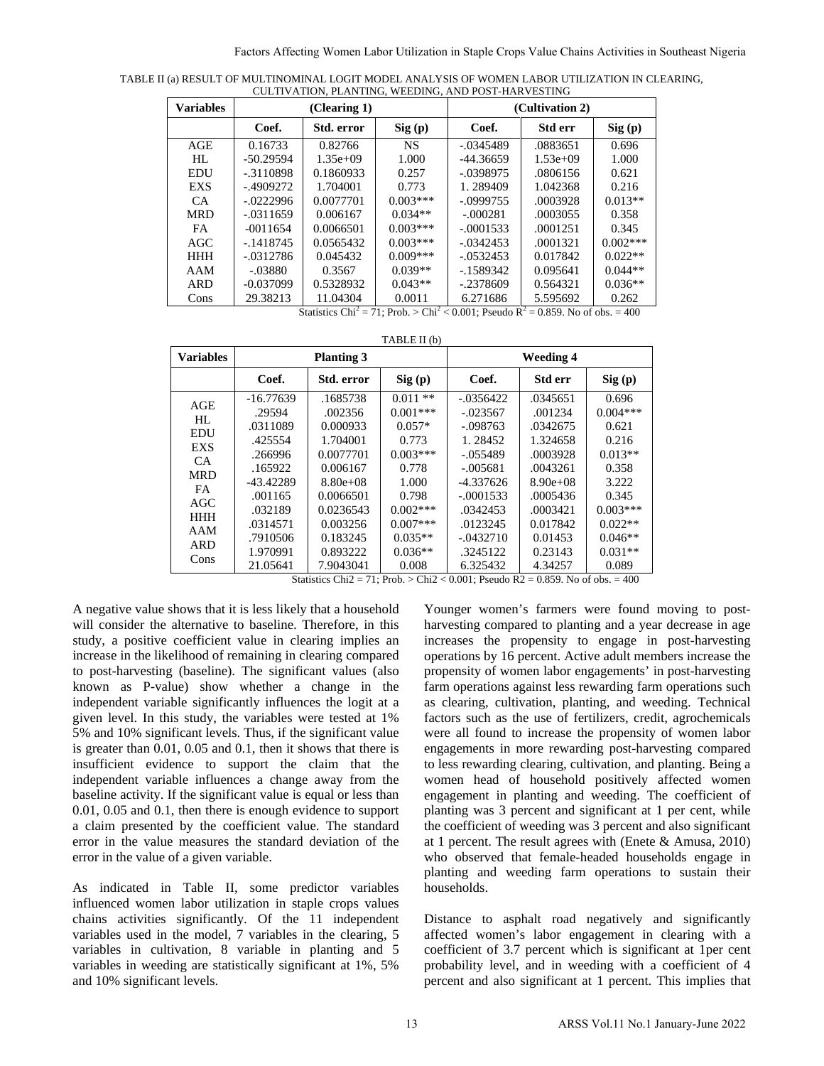TABLE II (a) RESULT OF MULTINOMINAL LOGIT MODEL ANALYSIS OF WOMEN LABOR UTILIZATION IN CLEARING, CULTIVATION, PLANTING, WEEDING, AND POST-HARVESTING

| <b>Variables</b> | (Clearing 1) |            |            | (Cultivation 2) |            |            |  |
|------------------|--------------|------------|------------|-----------------|------------|------------|--|
|                  | Coef.        | Std. error | Sig(p)     | Coef.           | Std err    | Sig(p)     |  |
| AGE              | 0.16733      | 0.82766    | NS.        | $-.0345489$     | .0883651   | 0.696      |  |
| HL               | $-50.29594$  | $1.35e+09$ | 1.000      | $-44.36659$     | $1.53e+09$ | 1.000      |  |
| <b>EDU</b>       | $-3110898$   | 0.1860933  | 0.257      | $-.0398975$     | .0806156   | 0.621      |  |
| <b>EXS</b>       | $-0.4909272$ | 1.704001   | 0.773      | 1.289409        | 1.042368   | 0.216      |  |
| CA.              | $-.0222996$  | 0.0077701  | $0.003***$ | $-.0999755$     | .0003928   | $0.013**$  |  |
| <b>MRD</b>       | $-.0311659$  | 0.006167   | $0.034**$  | $-.000281$      | .0003055   | 0.358      |  |
| <b>FA</b>        | $-0011654$   | 0.0066501  | $0.003***$ | $-.0001533$     | .0001251   | 0.345      |  |
| AGC              | $-1418745$   | 0.0565432  | $0.003***$ | $-.0342453$     | .0001321   | $0.002***$ |  |
| <b>HHH</b>       | $-.0312786$  | 0.045432   | $0.009***$ | $-.0532453$     | 0.017842   | $0.022**$  |  |
| AAM              | $-.03880$    | 0.3567     | $0.039**$  | $-1589342$      | 0.095641   | $0.044**$  |  |
| <b>ARD</b>       | $-0.037099$  | 0.5328932  | $0.043**$  | $-.2378609$     | 0.564321   | $0.036**$  |  |
| Cons             | 29.38213     | 11.04304   | 0.0011     | 6.271686        | 5.595692   | 0.262      |  |

Statistics Chi<sup>2</sup> = 71; Prob. > Chi<sup>2</sup> < 0.001; Pseudo  $R^2 = 0.859$ . No of obs. = 400

TABLE II (b)

| <b>Variables</b>                                                                                                         |                                                                                                                                           | <b>Planting 3</b>                                                                                                                                   |                                                                                                                                             |                                                                                                                                                                 | <b>Weeding 4</b>                                                                                                                             |                                                                                                                                    |
|--------------------------------------------------------------------------------------------------------------------------|-------------------------------------------------------------------------------------------------------------------------------------------|-----------------------------------------------------------------------------------------------------------------------------------------------------|---------------------------------------------------------------------------------------------------------------------------------------------|-----------------------------------------------------------------------------------------------------------------------------------------------------------------|----------------------------------------------------------------------------------------------------------------------------------------------|------------------------------------------------------------------------------------------------------------------------------------|
|                                                                                                                          | Coef.                                                                                                                                     | Std. error                                                                                                                                          | Sig(p)                                                                                                                                      | Coef.                                                                                                                                                           | Std err                                                                                                                                      | Sig(p)                                                                                                                             |
| AGE<br>HL<br><b>EDU</b><br>EXS<br><b>CA</b><br><b>MRD</b><br><b>FA</b><br>AGC<br><b>HHH</b><br>AAM<br><b>ARD</b><br>Cons | $-16.77639$<br>.29594<br>.0311089<br>.425554<br>.266996<br>.165922<br>-43.42289<br>.001165<br>.032189<br>.0314571<br>.7910506<br>1.970991 | .1685738<br>.002356<br>0.000933<br>1.704001<br>0.0077701<br>0.006167<br>$8.80e + 0.8$<br>0.0066501<br>0.0236543<br>0.003256<br>0.183245<br>0.893222 | $0.011**$<br>$0.001***$<br>$0.057*$<br>0.773<br>$0.003***$<br>0.778<br>1.000<br>0.798<br>$0.002***$<br>$0.007***$<br>$0.035**$<br>$0.036**$ | $-.0356422$<br>$-.023567$<br>$-.098763$<br>1.28452<br>$-.055489$<br>$-.005681$<br>$-4.337626$<br>$-.0001533$<br>.0342453<br>.0123245<br>$-.0432710$<br>.3245122 | .0345651<br>.001234<br>.0342675<br>1.324658<br>.0003928<br>.0043261<br>$8.90e+0.8$<br>.0005436<br>.0003421<br>0.017842<br>0.01453<br>0.23143 | 0.696<br>$0.004***$<br>0.621<br>0.216<br>$0.013**$<br>0.358<br>3.222<br>0.345<br>$0.003***$<br>$0.022**$<br>$0.046**$<br>$0.031**$ |
|                                                                                                                          | 21.05641                                                                                                                                  | 7.9043041                                                                                                                                           | 0.008                                                                                                                                       | 6.325432                                                                                                                                                        | 4.34257                                                                                                                                      | 0.089                                                                                                                              |

Statistics Chi2 = 71; Prob. > Chi2 < 0.001; Pseudo R2 = 0.859. No of obs. = 400

A negative value shows that it is less likely that a household will consider the alternative to baseline. Therefore, in this study, a positive coefficient value in clearing implies an increase in the likelihood of remaining in clearing compared to post-harvesting (baseline). The significant values (also known as P-value) show whether a change in the independent variable significantly influences the logit at a given level. In this study, the variables were tested at 1% 5% and 10% significant levels. Thus, if the significant value is greater than 0.01, 0.05 and 0.1, then it shows that there is insufficient evidence to support the claim that the independent variable influences a change away from the baseline activity. If the significant value is equal or less than 0.01, 0.05 and 0.1, then there is enough evidence to support a claim presented by the coefficient value. The standard error in the value measures the standard deviation of the error in the value of a given variable.

As indicated in Table II, some predictor variables influenced women labor utilization in staple crops values chains activities significantly. Of the 11 independent variables used in the model, 7 variables in the clearing, 5 variables in cultivation, 8 variable in planting and 5 variables in weeding are statistically significant at 1%, 5% and 10% significant levels.

Younger women's farmers were found moving to postharvesting compared to planting and a year decrease in age increases the propensity to engage in post-harvesting operations by 16 percent. Active adult members increase the propensity of women labor engagements' in post-harvesting farm operations against less rewarding farm operations such as clearing, cultivation, planting, and weeding. Technical factors such as the use of fertilizers, credit, agrochemicals were all found to increase the propensity of women labor engagements in more rewarding post-harvesting compared to less rewarding clearing, cultivation, and planting. Being a women head of household positively affected women engagement in planting and weeding. The coefficient of planting was 3 percent and significant at 1 per cent, while the coefficient of weeding was 3 percent and also significant at 1 percent. The result agrees with (Enete & Amusa, 2010) who observed that female-headed households engage in planting and weeding farm operations to sustain their households. **EXAMENT WORKS VOL.11 AREN'** CROSS Vol.12 AREN' CROSS Vol.12 AREN' CROSS Value Chains Activities and Nigerial Northern Cross Affecting Women Labor Utilization in Staple Cross Affecting Women Labor Utilization in Staple (

Distance to asphalt road negatively and significantly affected women's labor engagement in clearing with a coefficient of 3.7 percent which is significant at 1per cent probability level, and in weeding with a coefficient of 4 percent and also significant at 1 percent. This implies that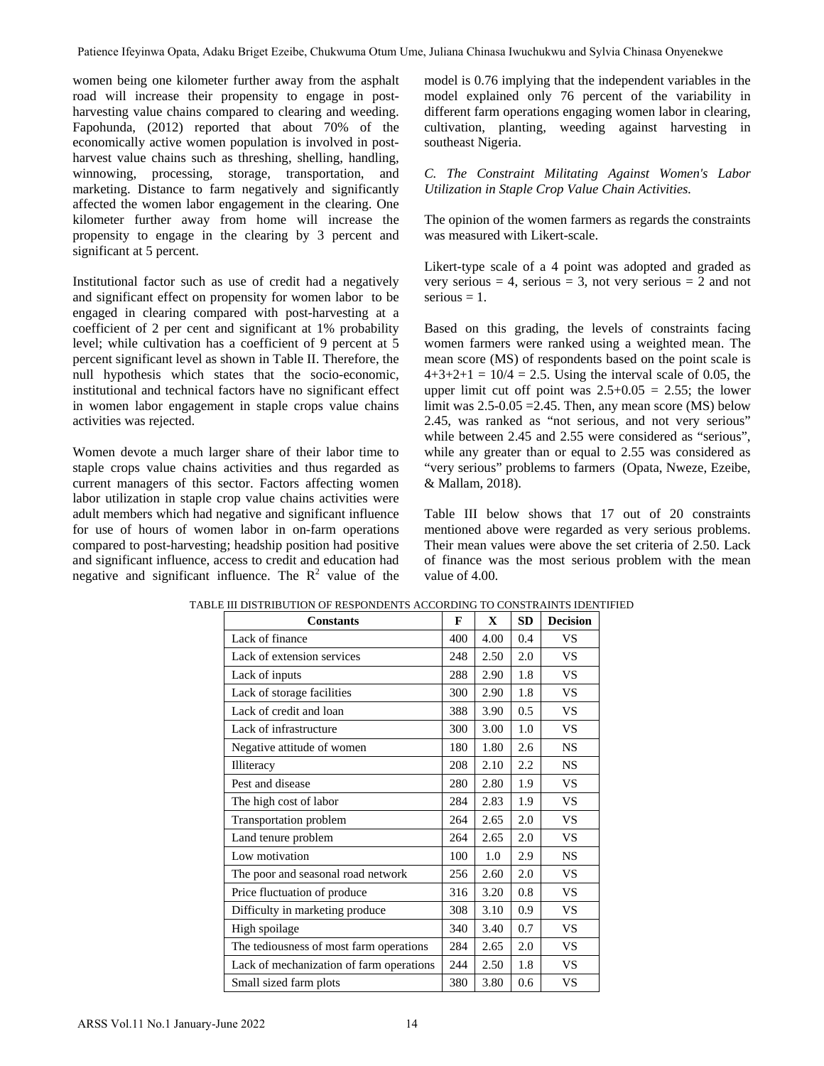model is 0.76 implying that the independent variables in the model explained only 76 percent of the variability in different farm operations engaging women labor in clearing, cultivation, planting, weeding against harvesting in southeast Nigeria.

*C. The Constraint Militating Against Women's Labor Utilization in Staple Crop Value Chain Activities.*

The opinion of the women farmers as regards the constraints was measured with Likert-scale.

Likert-type scale of a 4 point was adopted and graded as very serious = 4, serious = 3, not very serious =  $\frac{1}{2}$  and not  $series = 1$ .

Based on this grading, the levels of constraints facing women farmers were ranked using a weighted mean. The mean score (MS) of respondents based on the point scale is  $4+3+2+1 = 10/4 = 2.5$ . Using the interval scale of 0.05, the upper limit cut off point was  $2.5+0.05 = 2.55$ ; the lower limit was  $2.5 - 0.05 = 2.45$ . Then, any mean score (MS) below 2.45, was ranked as "not serious, and not very serious" while between 2.45 and 2.55 were considered as "serious", while any greater than or equal to 2.55 was considered as "very serious" problems to farmers (Opata, Nweze, Ezeibe, & Mallam, 2018).

Table III below shows that 17 out of 20 constraints mentioned above were regarded as very serious problems. Their mean values were above the set criteria of 2.50. Lack of finance was the most serious problem with the mean value of 4.00.

| vomen being one kilometer further away from the asphalt<br>oad will increase their propensity to engage in post-<br>arvesting value chains compared to clearing and weeding.<br>Papohunda, (2012) reported that about 70% of the<br>conomically active women population is involved in post-<br>arvest value chains such as threshing, shelling, handling,<br>vinnowing, processing, storage, transportation,<br>and<br>narketing. Distance to farm negatively and significantly<br>ffected the women labor engagement in the clearing. One<br>ilometer further away from home will increase the<br>propensity to engage in the clearing by 3 percent and<br>ignificant at 5 percent.<br>nstitutional factor such as use of credit had a negatively |                 | southeast Nigeria.                                                                        |            |                                                                                                      | model is 0.76 implying that the independent variables i<br>model explained only 76 percent of the variability<br>different farm operations engaging women labor in clea<br>cultivation, planting, weeding against harvesting                                                                                                                                                                               |  |  |  |
|-----------------------------------------------------------------------------------------------------------------------------------------------------------------------------------------------------------------------------------------------------------------------------------------------------------------------------------------------------------------------------------------------------------------------------------------------------------------------------------------------------------------------------------------------------------------------------------------------------------------------------------------------------------------------------------------------------------------------------------------------------|-----------------|-------------------------------------------------------------------------------------------|------------|------------------------------------------------------------------------------------------------------|------------------------------------------------------------------------------------------------------------------------------------------------------------------------------------------------------------------------------------------------------------------------------------------------------------------------------------------------------------------------------------------------------------|--|--|--|
|                                                                                                                                                                                                                                                                                                                                                                                                                                                                                                                                                                                                                                                                                                                                                     |                 |                                                                                           |            |                                                                                                      |                                                                                                                                                                                                                                                                                                                                                                                                            |  |  |  |
|                                                                                                                                                                                                                                                                                                                                                                                                                                                                                                                                                                                                                                                                                                                                                     |                 |                                                                                           |            | C. The Constraint Militating Against Women's 1<br>Utilization in Staple Crop Value Chain Activities. |                                                                                                                                                                                                                                                                                                                                                                                                            |  |  |  |
|                                                                                                                                                                                                                                                                                                                                                                                                                                                                                                                                                                                                                                                                                                                                                     |                 | The opinion of the women farmers as regards the consti<br>was measured with Likert-scale. |            |                                                                                                      |                                                                                                                                                                                                                                                                                                                                                                                                            |  |  |  |
| nd significant effect on propensity for women labor to be<br>ngaged in clearing compared with post-harvesting at a                                                                                                                                                                                                                                                                                                                                                                                                                                                                                                                                                                                                                                  | $s$ erious = 1. |                                                                                           |            |                                                                                                      | Likert-type scale of a 4 point was adopted and grad-<br>very serious = 4, serious = 3, not very serious = 2 and                                                                                                                                                                                                                                                                                            |  |  |  |
| oefficient of 2 per cent and significant at 1% probability<br>evel; while cultivation has a coefficient of 9 percent at 5<br>ercent significant level as shown in Table II. Therefore, the<br>ull hypothesis which states that the socio-economic,<br>nstitutional and technical factors have no significant effect<br>n women labor engagement in staple crops value chains<br>ctivities was rejected.                                                                                                                                                                                                                                                                                                                                             |                 |                                                                                           |            |                                                                                                      | Based on this grading, the levels of constraints f<br>women farmers were ranked using a weighted mean<br>mean score (MS) of respondents based on the point sc<br>$4+3+2+1 = 10/4 = 2.5$ . Using the interval scale of 0.0.<br>upper limit cut off point was $2.5+0.05 = 2.55$ ; the l<br>limit was $2.5 - 0.05 = 2.45$ . Then, any mean score (MS) b<br>2.45, was ranked as "not serious, and not very ser |  |  |  |
| Vomen devote a much larger share of their labor time to<br>taple crops value chains activities and thus regarded as<br>urrent managers of this sector. Factors affecting women<br>abor utilization in staple crop value chains activities were                                                                                                                                                                                                                                                                                                                                                                                                                                                                                                      |                 | & Mallam, 2018).                                                                          |            |                                                                                                      | while between 2.45 and 2.55 were considered as "seri<br>while any greater than or equal to 2.55 was consider<br>"very serious" problems to farmers (Opata, Nweze, Ez                                                                                                                                                                                                                                       |  |  |  |
| dult members which had negative and significant influence<br>or use of hours of women labor in on-farm operations<br>ompared to post-harvesting; headship position had positive<br>nd significant influence, access to credit and education had<br>egative and significant influence. The $R^2$ value of the                                                                                                                                                                                                                                                                                                                                                                                                                                        | value of 4.00.  |                                                                                           |            |                                                                                                      | Table III below shows that 17 out of 20 consti<br>mentioned above were regarded as very serious prob<br>Their mean values were above the set criteria of 2.50.<br>of finance was the most serious problem with the                                                                                                                                                                                         |  |  |  |
| TABLE III DISTRIBUTION OF RESPONDENTS ACCORDING TO CONSTRAINTS IDENTIFIED<br><b>Constants</b>                                                                                                                                                                                                                                                                                                                                                                                                                                                                                                                                                                                                                                                       | F               | X                                                                                         | <b>SD</b>  | <b>Decision</b>                                                                                      |                                                                                                                                                                                                                                                                                                                                                                                                            |  |  |  |
| Lack of finance                                                                                                                                                                                                                                                                                                                                                                                                                                                                                                                                                                                                                                                                                                                                     | 400             | 4.00                                                                                      | 0.4        | <b>VS</b>                                                                                            |                                                                                                                                                                                                                                                                                                                                                                                                            |  |  |  |
| Lack of extension services                                                                                                                                                                                                                                                                                                                                                                                                                                                                                                                                                                                                                                                                                                                          | 248             | 2.50                                                                                      | $2.0\,$    | VS                                                                                                   |                                                                                                                                                                                                                                                                                                                                                                                                            |  |  |  |
| Lack of inputs                                                                                                                                                                                                                                                                                                                                                                                                                                                                                                                                                                                                                                                                                                                                      | 288             | 2.90                                                                                      | 1.8        | <b>VS</b>                                                                                            |                                                                                                                                                                                                                                                                                                                                                                                                            |  |  |  |
| Lack of storage facilities                                                                                                                                                                                                                                                                                                                                                                                                                                                                                                                                                                                                                                                                                                                          | 300             | 2.90                                                                                      | 1.8        | <b>VS</b>                                                                                            |                                                                                                                                                                                                                                                                                                                                                                                                            |  |  |  |
| Lack of credit and loan                                                                                                                                                                                                                                                                                                                                                                                                                                                                                                                                                                                                                                                                                                                             | 388             | 3.90                                                                                      | 0.5        | <b>VS</b>                                                                                            |                                                                                                                                                                                                                                                                                                                                                                                                            |  |  |  |
| Lack of infrastructure                                                                                                                                                                                                                                                                                                                                                                                                                                                                                                                                                                                                                                                                                                                              | 300             | 3.00                                                                                      | 1.0        | <b>VS</b>                                                                                            |                                                                                                                                                                                                                                                                                                                                                                                                            |  |  |  |
| Negative attitude of women                                                                                                                                                                                                                                                                                                                                                                                                                                                                                                                                                                                                                                                                                                                          | 180             | 1.80                                                                                      | 2.6        | NS                                                                                                   |                                                                                                                                                                                                                                                                                                                                                                                                            |  |  |  |
|                                                                                                                                                                                                                                                                                                                                                                                                                                                                                                                                                                                                                                                                                                                                                     | 208             | 2.10                                                                                      | 2.2        | NS                                                                                                   |                                                                                                                                                                                                                                                                                                                                                                                                            |  |  |  |
| Illiteracy                                                                                                                                                                                                                                                                                                                                                                                                                                                                                                                                                                                                                                                                                                                                          |                 |                                                                                           |            |                                                                                                      |                                                                                                                                                                                                                                                                                                                                                                                                            |  |  |  |
| Pest and disease                                                                                                                                                                                                                                                                                                                                                                                                                                                                                                                                                                                                                                                                                                                                    | 280             | 2.80                                                                                      | 1.9        | <b>VS</b>                                                                                            |                                                                                                                                                                                                                                                                                                                                                                                                            |  |  |  |
| The high cost of labor                                                                                                                                                                                                                                                                                                                                                                                                                                                                                                                                                                                                                                                                                                                              | 284             | 2.83                                                                                      | 1.9        | <b>VS</b>                                                                                            |                                                                                                                                                                                                                                                                                                                                                                                                            |  |  |  |
| Transportation problem                                                                                                                                                                                                                                                                                                                                                                                                                                                                                                                                                                                                                                                                                                                              | 264             | 2.65                                                                                      | $2.0\,$    | <b>VS</b>                                                                                            |                                                                                                                                                                                                                                                                                                                                                                                                            |  |  |  |
|                                                                                                                                                                                                                                                                                                                                                                                                                                                                                                                                                                                                                                                                                                                                                     | 264             | 2.65                                                                                      | $2.0\,$    | <b>VS</b>                                                                                            |                                                                                                                                                                                                                                                                                                                                                                                                            |  |  |  |
| Land tenure problem<br>Low motivation                                                                                                                                                                                                                                                                                                                                                                                                                                                                                                                                                                                                                                                                                                               | 100             | 1.0                                                                                       | 2.9        |                                                                                                      |                                                                                                                                                                                                                                                                                                                                                                                                            |  |  |  |
|                                                                                                                                                                                                                                                                                                                                                                                                                                                                                                                                                                                                                                                                                                                                                     |                 |                                                                                           |            | $_{\rm NS}$                                                                                          |                                                                                                                                                                                                                                                                                                                                                                                                            |  |  |  |
| The poor and seasonal road network                                                                                                                                                                                                                                                                                                                                                                                                                                                                                                                                                                                                                                                                                                                  | 256             | 2.60                                                                                      | 2.0        | <b>VS</b>                                                                                            |                                                                                                                                                                                                                                                                                                                                                                                                            |  |  |  |
| Price fluctuation of produce                                                                                                                                                                                                                                                                                                                                                                                                                                                                                                                                                                                                                                                                                                                        | 316             | 3.20                                                                                      | $0.8\,$    | <b>VS</b>                                                                                            |                                                                                                                                                                                                                                                                                                                                                                                                            |  |  |  |
| Difficulty in marketing produce                                                                                                                                                                                                                                                                                                                                                                                                                                                                                                                                                                                                                                                                                                                     | 308             | 3.10                                                                                      | 0.9        | <b>VS</b>                                                                                            |                                                                                                                                                                                                                                                                                                                                                                                                            |  |  |  |
| High spoilage                                                                                                                                                                                                                                                                                                                                                                                                                                                                                                                                                                                                                                                                                                                                       | 340             | 3.40                                                                                      | 0.7        | <b>VS</b>                                                                                            |                                                                                                                                                                                                                                                                                                                                                                                                            |  |  |  |
| The tediousness of most farm operations                                                                                                                                                                                                                                                                                                                                                                                                                                                                                                                                                                                                                                                                                                             | 284             | 2.65                                                                                      | 2.0        | <b>VS</b>                                                                                            |                                                                                                                                                                                                                                                                                                                                                                                                            |  |  |  |
| Lack of mechanization of farm operations<br>Small sized farm plots                                                                                                                                                                                                                                                                                                                                                                                                                                                                                                                                                                                                                                                                                  | 244<br>380      | 2.50<br>3.80                                                                              | 1.8<br>0.6 | <b>VS</b><br><b>VS</b>                                                                               |                                                                                                                                                                                                                                                                                                                                                                                                            |  |  |  |

TABLE III DISTRIBUTION OF RESPONDENTS ACCORDING TO CONSTRAINTS IDENTIFIED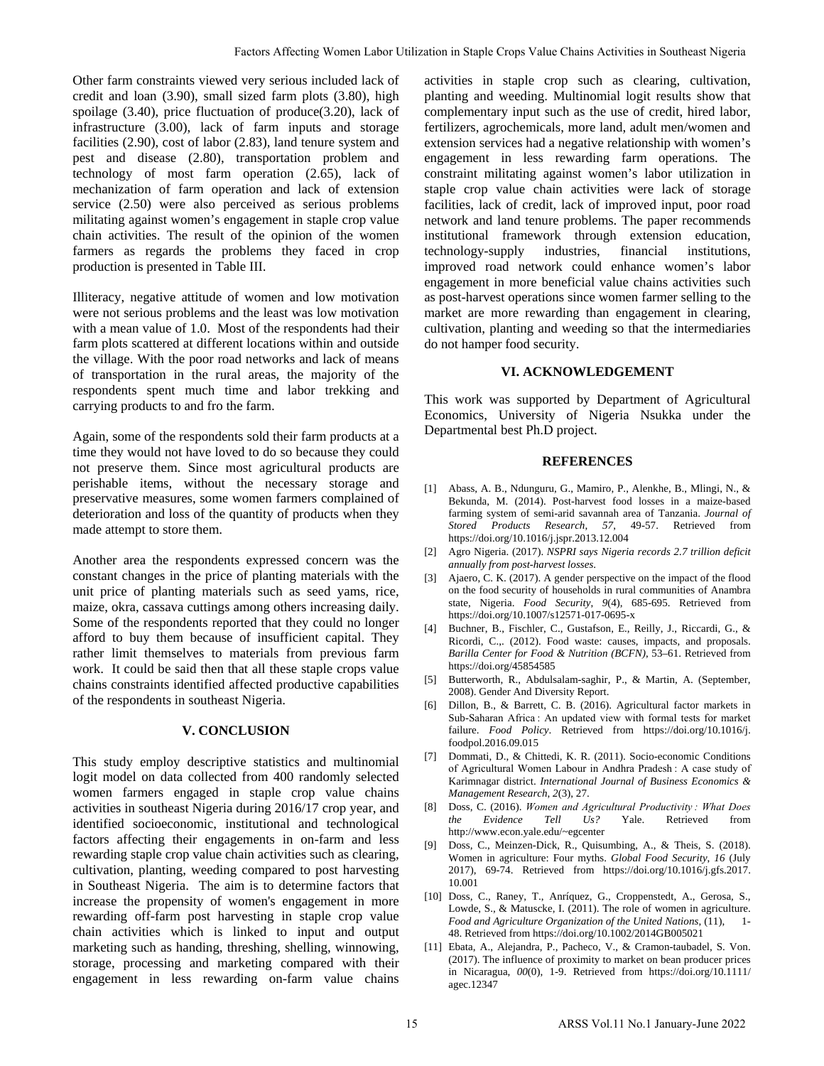Other farm constraints viewed very serious included lack of credit and loan (3.90), small sized farm plots (3.80), high spoilage (3.40), price fluctuation of produce(3.20), lack of infrastructure (3.00), lack of farm inputs and storage facilities (2.90), cost of labor (2.83), land tenure system and pest and disease (2.80), transportation problem and technology of most farm operation (2.65), lack of mechanization of farm operation and lack of extension service (2.50) were also perceived as serious problems militating against women's engagement in staple crop value chain activities. The result of the opinion of the women farmers as regards the problems they faced in crop production is presented in Table III.

Illiteracy, negative attitude of women and low motivation were not serious problems and the least was low motivation with a mean value of 1.0. Most of the respondents had their farm plots scattered at different locations within and outside the village. With the poor road networks and lack of means of transportation in the rural areas, the majority of the respondents spent much time and labor trekking and carrying products to and fro the farm.

Again, some of the respondents sold their farm products at a time they would not have loved to do so because they could not preserve them. Since most agricultural products are perishable items, without the necessary storage and preservative measures, some women farmers complained of deterioration and loss of the quantity of products when they made attempt to store them.

Another area the respondents expressed concern was the constant changes in the price of planting materials with the unit price of planting materials such as seed yams, rice, maize, okra, cassava cuttings among others increasing daily. Some of the respondents reported that they could no longer afford to buy them because of insufficient capital. They rather limit themselves to materials from previous farm work. It could be said then that all these staple crops value chains constraints identified affected productive capabilities of the respondents in southeast Nigeria.

#### **V. CONCLUSION**

This study employ descriptive statistics and multinomial logit model on data collected from 400 randomly selected women farmers engaged in staple crop value chains activities in southeast Nigeria during 2016/17 crop year, and identified socioeconomic, institutional and technological factors affecting their engagements in on-farm and less rewarding staple crop value chain activities such as clearing, cultivation, planting, weeding compared to post harvesting in Southeast Nigeria. The aim is to determine factors that increase the propensity of women's engagement in more rewarding off-farm post harvesting in staple crop value chain activities which is linked to input and output marketing such as handing, threshing, shelling, winnowing, storage, processing and marketing compared with their engagement in less rewarding on-farm value chains

activities in staple crop such as clearing, cultivation, planting and weeding. Multinomial logit results show that complementary input such as the use of credit, hired labor, fertilizers, agrochemicals, more land, adult men/women and extension services had a negative relationship with women's engagement in less rewarding farm operations. The constraint militating against women's labor utilization in staple crop value chain activities were lack of storage facilities, lack of credit, lack of improved input, poor road network and land tenure problems. The paper recommends institutional framework through extension education, technology-supply industries, financial institutions, improved road network could enhance women's labor engagement in more beneficial value chains activities such as post-harvest operations since women farmer selling to the market are more rewarding than engagement in clearing, cultivation, planting and weeding so that the intermediaries do not hamper food security. Factors Women and the University with the state of the state of the state of the state of the state of the state of the state of the state of the state of the state of the state of the state of the state of the state of

### **VI. ACKNOWLEDGEMENT**

This work was supported by Department of Agricultural Economics, University of Nigeria Nsukka under the Departmental best Ph.D project.

#### **REFERENCES**

- [1] Abass, A. B., Ndunguru, G., Mamiro, P., Alenkhe, B., Mlingi, N., & Bekunda, M. (2014). Post-harvest food losses in a maize-based farming system of semi-arid savannah area of Tanzania. *Journal of Stored Products Research*, *57*, 49-57. Retrieved from https://doi.org/10.1016/j.jspr.2013.12.004
- [2] Agro Nigeria. (2017). *NSPRI says Nigeria records 2.7 trillion deficit annually from post-harvest losses*.
- [3] Ajaero, C. K. (2017). A gender perspective on the impact of the flood on the food security of households in rural communities of Anambra state, Nigeria. *Food Security*, *9*(4), 685-695. Retrieved from https://doi.org/10.1007/s12571-017-0695-x
- [4] Buchner, B., Fischler, C., Gustafson, E., Reilly, J., Riccardi, G., & Ricordi, C.,. (2012). Food waste: causes, impacts, and proposals. *Barilla Center for Food & Nutrition (BCFN)*, 53–61. Retrieved from https://doi.org/45854585
- [5] Butterworth, R., Abdulsalam-saghir, P., & Martin, A. (September, 2008). Gender And Diversity Report.
- [6] Dillon, B., & Barrett, C. B. (2016). Agricultural factor markets in Sub-Saharan Africa : An updated view with formal tests for market failure. *Food Policy*. Retrieved from https://doi.org/10.1016/j. foodpol.2016.09.015
- [7] Dommati, D., & Chittedi, K. R. (2011). Socio-economic Conditions of Agricultural Women Labour in Andhra Pradesh : A case study of Karimnagar district. *International Journal of Business Economics & Management Research*, *2*(3), 27.
- [8] Doss, C. (2016). *Women and Agricultural Productivity : What Does the Evidence Tell Us?* Yale. Retrieved from http://www.econ.yale.edu/~egcenter
- Doss, C., Meinzen-Dick, R., Quisumbing, A., & Theis, S. (2018). Women in agriculture: Four myths. *Global Food Security*, *16* (July 2017), 69-74. Retrieved from https://doi.org/10.1016/j.gfs.2017. 10.001
- [10] Doss, C., Raney, T., Anríquez, G., Croppenstedt, A., Gerosa, S., Lowde, S., & Matuscke, I. (2011). The role of women in agriculture. *Food and Agriculture Organization of the United Nations*, (11), 1- 48. Retrieved from https://doi.org/10.1002/2014GB005021
- [11] Ebata, A., Alejandra, P., Pacheco, V., & Cramon-taubadel, S. Von. (2017). The influence of proximity to market on bean producer prices in Nicaragua, *00*(0), 1-9. Retrieved from https://doi.org/10.1111/ agec.12347